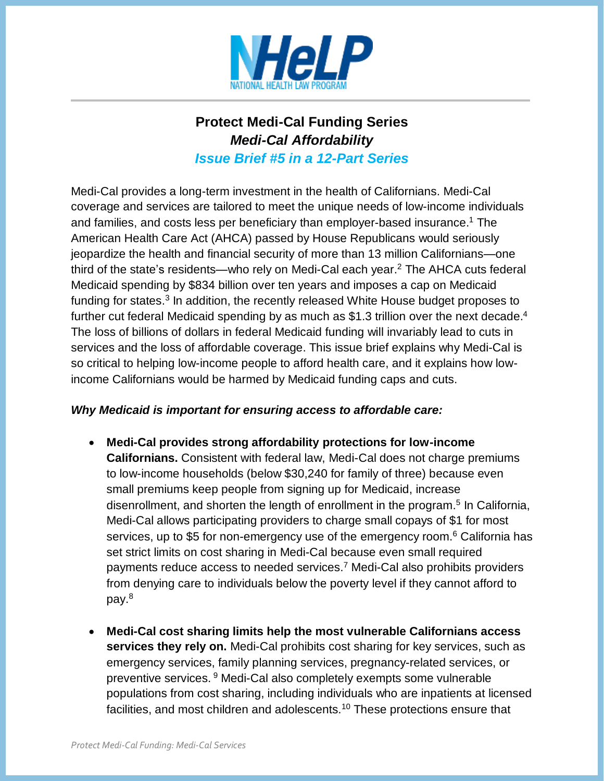

# **Protect Medi-Cal Funding Series**  *Medi-Cal Affordability Issue Brief #5 in a 12-Part Series*

Medi-Cal provides a long-term investment in the health of Californians. Medi-Cal coverage and services are tailored to meet the unique needs of low-income individuals and families, and costs less per beneficiary than employer-based insurance.<sup>1</sup> The American Health Care Act (AHCA) passed by House Republicans would seriously jeopardize the health and financial security of more than 13 million Californians—one third of the state's residents—who rely on Medi-Cal each year.<sup>2</sup> The AHCA cuts federal Medicaid spending by \$834 billion over ten years and imposes a cap on Medicaid funding for states.<sup>3</sup> In addition, the recently released White House budget proposes to further cut federal Medicaid spending by as much as \$1.3 trillion over the next decade.<sup>4</sup> The loss of billions of dollars in federal Medicaid funding will invariably lead to cuts in services and the loss of affordable coverage. This issue brief explains why Medi-Cal is so critical to helping low-income people to afford health care, and it explains how lowincome Californians would be harmed by Medicaid funding caps and cuts.

## *Why Medicaid is important for ensuring access to affordable care:*

- **Medi-Cal provides strong affordability protections for low-income Californians.** Consistent with federal law, Medi-Cal does not charge premiums to low-income households (below \$30,240 for family of three) because even small premiums keep people from signing up for Medicaid, increase disenrollment, and shorten the length of enrollment in the program.<sup>5</sup> In California, Medi-Cal allows participating providers to charge small copays of \$1 for most services, up to \$5 for non-emergency use of the emergency room.<sup>6</sup> California has set strict limits on cost sharing in Medi-Cal because even small required payments reduce access to needed services.<sup>7</sup> Medi-Cal also prohibits providers from denying care to individuals below the poverty level if they cannot afford to pay.<sup>8</sup>
- **Medi-Cal cost sharing limits help the most vulnerable Californians access services they rely on.** Medi-Cal prohibits cost sharing for key services, such as emergency services, family planning services, pregnancy-related services, or preventive services. <sup>9</sup> Medi-Cal also completely exempts some vulnerable populations from cost sharing, including individuals who are inpatients at licensed facilities, and most children and adolescents.<sup>10</sup> These protections ensure that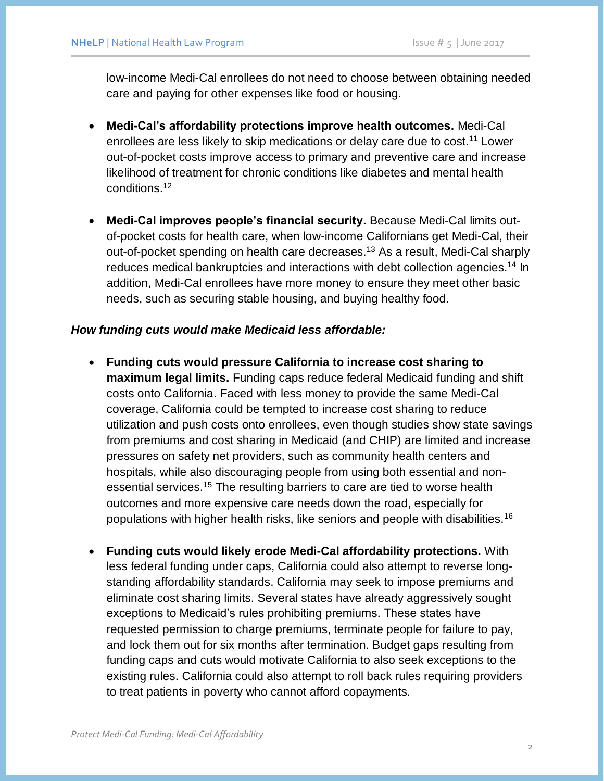low-income Medi-Cal enrollees do not need to choose between obtaining needed care and paying for other expenses like food or housing.

- **Medi-Cal's affordability protections improve health outcomes.** Medi-Cal enrollees are less likely to skip medications or delay care due to cost.**<sup>11</sup>** Lower out-of-pocket costs improve access to primary and preventive care and increase likelihood of treatment for chronic conditions like diabetes and mental health conditions.<sup>12</sup>
- **Medi-Cal improves people's financial security.** Because Medi-Cal limits outof-pocket costs for health care, when low-income Californians get Medi-Cal, their out-of-pocket spending on health care decreases.<sup>13</sup> As a result, Medi-Cal sharply reduces medical bankruptcies and interactions with debt collection agencies.<sup>14</sup> In addition, Medi-Cal enrollees have more money to ensure they meet other basic needs, such as securing stable housing, and buying healthy food.

### *How funding cuts would make Medicaid less affordable:*

- **Funding cuts would pressure California to increase cost sharing to maximum legal limits.** Funding caps reduce federal Medicaid funding and shift costs onto California. Faced with less money to provide the same Medi-Cal coverage, California could be tempted to increase cost sharing to reduce utilization and push costs onto enrollees, even though studies show state savings from premiums and cost sharing in Medicaid (and CHIP) are limited and increase pressures on safety net providers, such as community health centers and hospitals, while also discouraging people from using both essential and nonessential services.<sup>15</sup> The resulting barriers to care are tied to worse health outcomes and more expensive care needs down the road, especially for populations with higher health risks, like seniors and people with disabilities.<sup>16</sup>
- **Funding cuts would likely erode Medi-Cal affordability protections.** With less federal funding under caps, California could also attempt to reverse longstanding affordability standards. California may seek to impose premiums and eliminate cost sharing limits. Several states have already aggressively sought exceptions to Medicaid's rules prohibiting premiums. These states have requested permission to charge premiums, terminate people for failure to pay, and lock them out for six months after termination. Budget gaps resulting from funding caps and cuts would motivate California to also seek exceptions to the existing rules. California could also attempt to roll back rules requiring providers to treat patients in poverty who cannot afford copayments.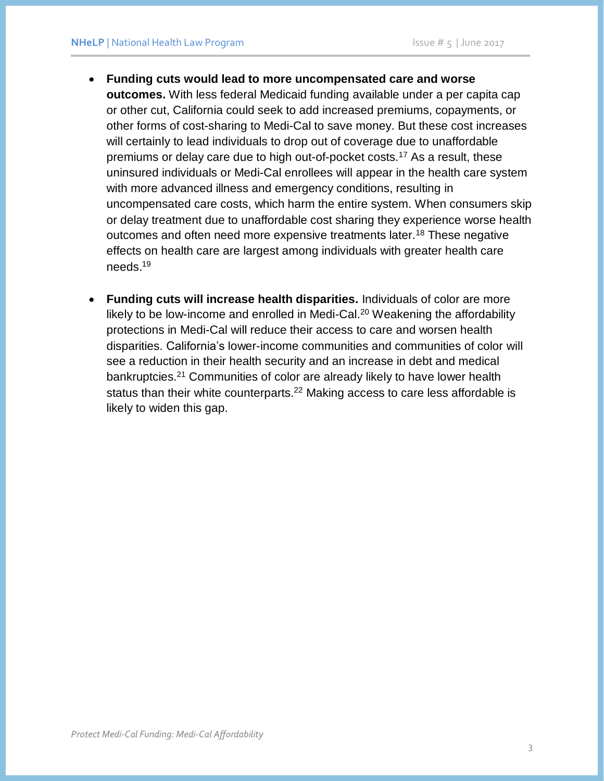- **Funding cuts would lead to more uncompensated care and worse outcomes.** With less federal Medicaid funding available under a per capita cap or other cut, California could seek to add increased premiums, copayments, or other forms of cost-sharing to Medi-Cal to save money. But these cost increases will certainly to lead individuals to drop out of coverage due to unaffordable premiums or delay care due to high out-of-pocket costs.<sup>17</sup> As a result, these uninsured individuals or Medi-Cal enrollees will appear in the health care system with more advanced illness and emergency conditions, resulting in uncompensated care costs, which harm the entire system. When consumers skip or delay treatment due to unaffordable cost sharing they experience worse health outcomes and often need more expensive treatments later.<sup>18</sup> These negative effects on health care are largest among individuals with greater health care needs.<sup>19</sup>
- **Funding cuts will increase health disparities.** Individuals of color are more likely to be low-income and enrolled in Medi-Cal.<sup>20</sup> Weakening the affordability protections in Medi-Cal will reduce their access to care and worsen health disparities. California's lower-income communities and communities of color will see a reduction in their health security and an increase in debt and medical bankruptcies.<sup>21</sup> Communities of color are already likely to have lower health status than their white counterparts.<sup>22</sup> Making access to care less affordable is likely to widen this gap.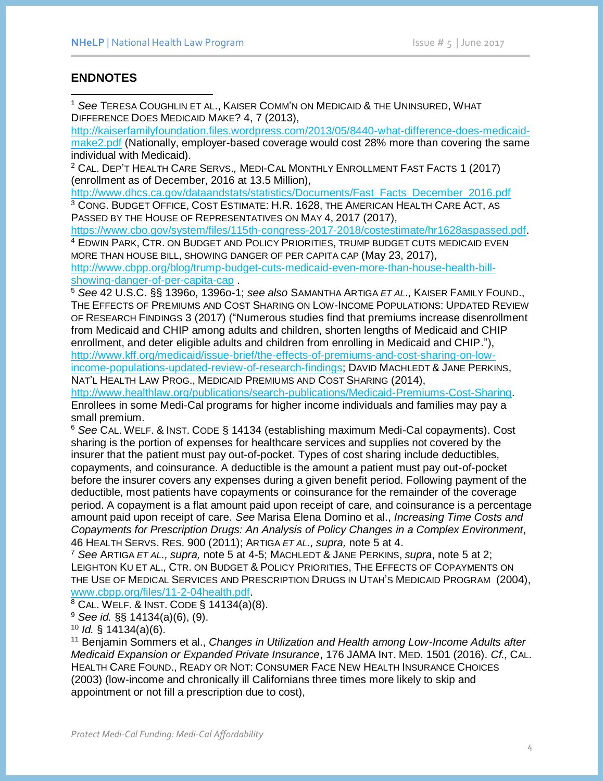## **ENDNOTES**

<sup>1</sup> *See* TERESA COUGHLIN ET AL., KAISER COMM'N ON MEDICAID & THE UNINSURED, WHAT DIFFERENCE DOES MEDICAID MAKE? 4, 7 (2013),

[http://kaiserfamilyfoundation.files.wordpress.com/2013/05/8440-what-difference-does-medicaid](http://kaiserfamilyfoundation.files.wordpress.com/2013/05/8440-what-difference-does-medicaid-make2.pdf)[make2.pdf](http://kaiserfamilyfoundation.files.wordpress.com/2013/05/8440-what-difference-does-medicaid-make2.pdf) (Nationally, employer-based coverage would cost 28% more than covering the same individual with Medicaid).

<sup>2</sup> CAL. DEP'T HEALTH CARE SERVS.*,* MEDI-CAL MONTHLY ENROLLMENT FAST FACTS 1 (2017) (enrollment as of December, 2016 at 13.5 Million),

[http://www.dhcs.ca.gov/dataandstats/statistics/Documents/Fast\\_Facts\\_December\\_2016.pdf](http://www.dhcs.ca.gov/dataandstats/statistics/Documents/Fast_Facts_December_2016.pdf) <sup>3</sup> CONG. BUDGET OFFICE, COST ESTIMATE: H.R. 1628, THE AMERICAN HEALTH CARE ACT, AS PASSED BY THE HOUSE OF REPRESENTATIVES ON MAY 4, 2017 (2017),

[https://www.cbo.gov/system/files/115th-congress-2017-2018/costestimate/hr1628aspassed.pdf.](https://www.cbo.gov/system/files/115th-congress-2017-2018/costestimate/hr1628aspassed.pdf) <sup>4</sup> EDWIN PARK, CTR. ON BUDGET AND POLICY PRIORITIES, TRUMP BUDGET CUTS MEDICAID EVEN

MORE THAN HOUSE BILL, SHOWING DANGER OF PER CAPITA CAP (May 23, 2017), [http://www.cbpp.org/blog/trump-budget-cuts-medicaid-even-more-than-house-health-bill](http://www.cbpp.org/blog/trump-budget-cuts-medicaid-even-more-than-house-health-bill-showing-danger-of-per-capita-cap)[showing-danger-of-per-capita-cap](http://www.cbpp.org/blog/trump-budget-cuts-medicaid-even-more-than-house-health-bill-showing-danger-of-per-capita-cap) .

<sup>5</sup> *See* 42 U.S.C. §§ 1396o, 1396o-1; *see also* SAMANTHA ARTIGA *ET AL.,* KAISER FAMILY FOUND., THE EFFECTS OF PREMIUMS AND COST SHARING ON LOW-INCOME POPULATIONS: UPDATED REVIEW OF RESEARCH FINDINGS 3 (2017) ("Numerous studies find that premiums increase disenrollment from Medicaid and CHIP among adults and children, shorten lengths of Medicaid and CHIP enrollment, and deter eligible adults and children from enrolling in Medicaid and CHIP."), [http://www.kff.org/medicaid/issue-brief/the-effects-of-premiums-and-cost-sharing-on-low](http://www.kff.org/medicaid/issue-brief/the-effects-of-premiums-and-cost-sharing-on-low-income-populations-updated-review-of-research-findings)[income-populations-updated-review-of-research-findings;](http://www.kff.org/medicaid/issue-brief/the-effects-of-premiums-and-cost-sharing-on-low-income-populations-updated-review-of-research-findings) DAVID MACHLEDT & JANE PERKINS,

NAT'L HEALTH LAW PROG., MEDICAID PREMIUMS AND COST SHARING (2014),

[http://www.healthlaw.org/publications/search-publications/Medicaid-Premiums-Cost-Sharing.](http://www.healthlaw.org/publications/search-publications/Medicaid-Premiums-Cost-Sharing) Enrollees in some Medi-Cal programs for higher income individuals and families may pay a small premium.

<sup>6</sup> *See* CAL. WELF. & INST. CODE § 14134 (establishing maximum Medi-Cal copayments). Cost sharing is the portion of expenses for healthcare services and supplies not covered by the insurer that the patient must pay out-of-pocket. Types of cost sharing include deductibles, copayments, and coinsurance. A deductible is the amount a patient must pay out-of-pocket before the insurer covers any expenses during a given benefit period. Following payment of the deductible, most patients have copayments or coinsurance for the remainder of the coverage period. A copayment is a flat amount paid upon receipt of care, and coinsurance is a percentage amount paid upon receipt of care. *See* Marisa Elena Domino et al., *Increasing Time Costs and Copayments for Prescription Drugs: An Analysis of Policy Changes in a Complex Environment*, 46 HEALTH SERVS. RES. 900 (2011); ARTIGA *ET AL., supra,* note 5 at 4.

<sup>7</sup> *See* ARTIGA *ET AL., supra,* note 5 at 4-5; MACHLEDT & JANE PERKINS, *supra*, note 5 at 2; LEIGHTON KU ET AL.*,* CTR. ON BUDGET & POLICY PRIORITIES, THE EFFECTS OF COPAYMENTS ON THE USE OF MEDICAL SERVICES AND PRESCRIPTION DRUGS IN UTAH'S MEDICAID PROGRAM (2004), [www.cbpp.org/files/11-2-04health.pdf.](http://www.cbpp.org/files/11-2-04health.pdf)

 $8$  CAL. WELF. & INST. CODE § 14134(a)(8).

<sup>9</sup> *See id.* §§ 14134(a)(6), (9).

<sup>10</sup> *Id.* § 14134(a)(6).

<sup>11</sup> Benjamin Sommers et al., *Changes in Utilization and Health among Low-Income Adults after Medicaid Expansion or Expanded Private Insurance*, 176 JAMA INT. MED. 1501 (2016). *Cf.,* CAL. HEALTH CARE FOUND., READY OR NOT: CONSUMER FACE NEW HEALTH INSURANCE CHOICES (2003) (low-income and chronically ill Californians three times more likely to skip and appointment or not fill a prescription due to cost),